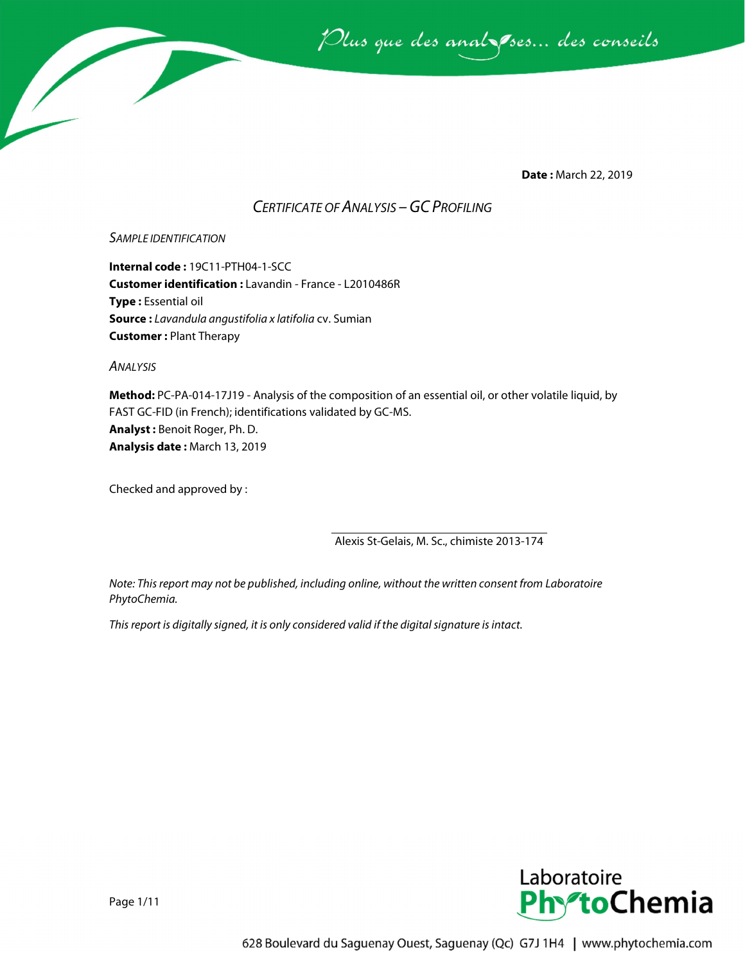

**Date :** March 22, 2019

### *CERTIFICATE OF ANALYSIS –GC PROFILING*

#### *SAMPLE IDENTIFICATION*

**Internal code :** 19C11-PTH04-1-SCC **Customer identification :** Lavandin - France - L2010486R **Type :** Essential oil **Source :** *Lavandula angustifolia x latifolia* cv. Sumian **Customer :** Plant Therapy

*ANALYSIS*

**Method:** PC-PA-014-17J19 - Analysis of the composition of an essential oil, or other volatile liquid, by FAST GC-FID (in French); identifications validated by GC-MS. **Analyst :** Benoit Roger, Ph. D. **Analysis date :** March 13, 2019

Checked and approved by :

Alexis St-Gelais, M. Sc., chimiste 2013-174

*Note: This report may not be published, including online, without the written consent from Laboratoire PhytoChemia.*

*This report is digitally signed, it is only considered valid if the digital signature is intact.*



Page 1/11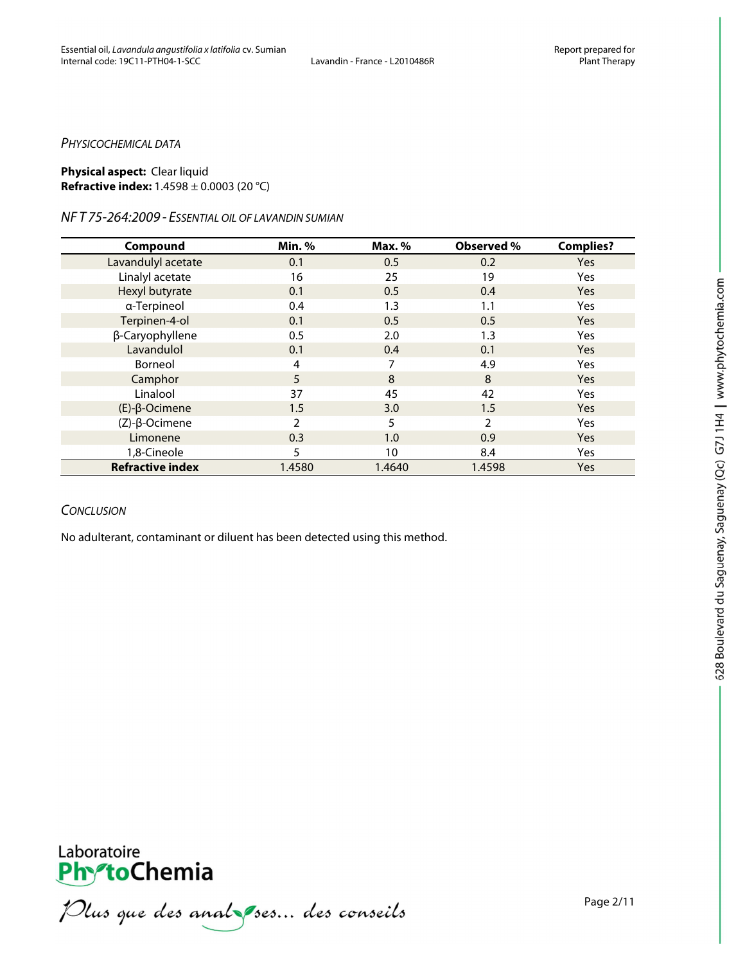#### *PHYSICOCHEMICAL DATA*

#### **Physical aspect:** Clear liquid **Refractive index:** 1.4598 ± 0.0003 (20 °C)

#### *NF T 75-264:2009 - ESSENTIAL OIL OF LAVANDIN SUMIAN*

| Compound                | Min.%  | Max. % | Observed %     | <b>Complies?</b> |
|-------------------------|--------|--------|----------------|------------------|
| Lavandulyl acetate      | 0.1    | 0.5    | 0.2            | <b>Yes</b>       |
| Linalyl acetate         | 16     | 25     | 19             | <b>Yes</b>       |
| Hexyl butyrate          | 0.1    | 0.5    | 0.4            | <b>Yes</b>       |
| a-Terpineol             | 0.4    | 1.3    | 1.1            | <b>Yes</b>       |
| Terpinen-4-ol           | 0.1    | 0.5    | 0.5            | <b>Yes</b>       |
| β-Caryophyllene         | 0.5    | 2.0    | 1.3            | <b>Yes</b>       |
| Lavandulol              | 0.1    | 0.4    | 0.1            | <b>Yes</b>       |
| Borneol                 | 4      | 7      | 4.9            | Yes              |
| Camphor                 | 5      | 8      | 8              | <b>Yes</b>       |
| Linalool                | 37     | 45     | 42             | <b>Yes</b>       |
| $(E)-\beta$ -Ocimene    | 1.5    | 3.0    | 1.5            | <b>Yes</b>       |
| $(Z)-\beta$ -Ocimene    | 2      | 5      | $\mathfrak{D}$ | <b>Yes</b>       |
| Limonene                | 0.3    | 1.0    | 0.9            | <b>Yes</b>       |
| 1,8-Cineole             | 5      | 10     | 8.4            | <b>Yes</b>       |
| <b>Refractive index</b> | 1.4580 | 1.4640 | 1.4598         | <b>Yes</b>       |

#### *CONCLUSION*

No adulterant, contaminant or diluent has been detected using this method.



**PhytoChemia**<br>*PhytoChemia*<br>*Plus que des analyses... des conseils*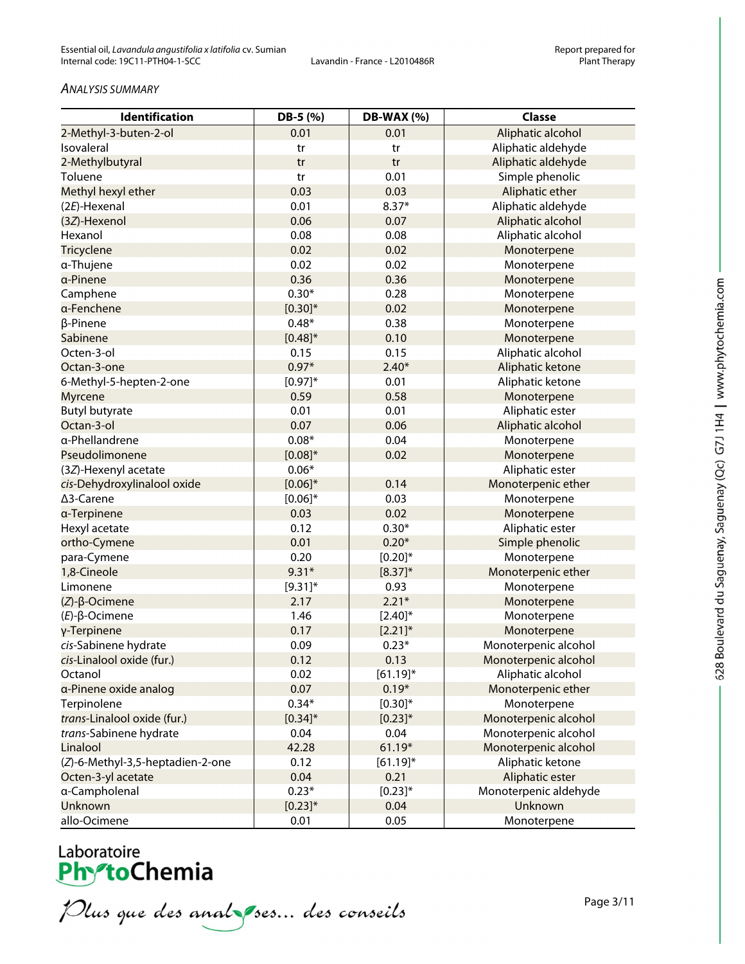#### *ANALYSIS SUMMARY*

| Identification                   | DB-5 (%)     | <b>DB-WAX (%)</b> | <b>Classe</b>         |
|----------------------------------|--------------|-------------------|-----------------------|
| 2-Methyl-3-buten-2-ol            | 0.01         | 0.01              | Aliphatic alcohol     |
| Isovaleral                       | tr           | tr                | Aliphatic aldehyde    |
| 2-Methylbutyral                  | tr           | tr                | Aliphatic aldehyde    |
| Toluene                          | tr           | 0.01              | Simple phenolic       |
| Methyl hexyl ether               | 0.03         | 0.03              | Aliphatic ether       |
| (2E)-Hexenal                     | 0.01         | $8.37*$           | Aliphatic aldehyde    |
| (3Z)-Hexenol                     | 0.06         | 0.07              | Aliphatic alcohol     |
| Hexanol                          | 0.08         | 0.08              | Aliphatic alcohol     |
| <b>Tricyclene</b>                | 0.02         | 0.02              | Monoterpene           |
| α-Thujene                        | 0.02         | 0.02              | Monoterpene           |
| a-Pinene                         | 0.36         | 0.36              | Monoterpene           |
| Camphene                         | $0.30*$      | 0.28              | Monoterpene           |
| a-Fenchene                       | $[0.30]^{*}$ | 0.02              | Monoterpene           |
| β-Pinene                         | $0.48*$      | 0.38              | Monoterpene           |
| Sabinene                         | $[0.48]^{*}$ | 0.10              | Monoterpene           |
| Octen-3-ol                       | 0.15         | 0.15              | Aliphatic alcohol     |
| Octan-3-one                      | $0.97*$      | $2.40*$           | Aliphatic ketone      |
| 6-Methyl-5-hepten-2-one          | $[0.97]^{*}$ | 0.01              | Aliphatic ketone      |
| Myrcene                          | 0.59         | 0.58              | Monoterpene           |
| <b>Butyl butyrate</b>            | 0.01         | 0.01              | Aliphatic ester       |
| Octan-3-ol                       | 0.07         | 0.06              | Aliphatic alcohol     |
| a-Phellandrene                   | $0.08*$      | 0.04              | Monoterpene           |
| Pseudolimonene                   | $[0.08]^{*}$ | 0.02              | Monoterpene           |
| (3Z)-Hexenyl acetate             | $0.06*$      |                   | Aliphatic ester       |
| cis-Dehydroxylinalool oxide      | $[0.06]$ *   | 0.14              | Monoterpenic ether    |
| ∆3-Carene                        | $[0.06]$ *   | 0.03              | Monoterpene           |
| a-Terpinene                      | 0.03         | 0.02              | Monoterpene           |
| Hexyl acetate                    | 0.12         | $0.30*$           | Aliphatic ester       |
| ortho-Cymene                     | 0.01         | $0.20*$           | Simple phenolic       |
| para-Cymene                      | 0.20         | $[0.20]^{*}$      | Monoterpene           |
| 1,8-Cineole                      | $9.31*$      | $[8.37]^{*}$      | Monoterpenic ether    |
| Limonene                         | $[9.31]$ *   | 0.93              | Monoterpene           |
| $(Z)-\beta$ -Ocimene             | 2.17         | $2.21*$           | Monoterpene           |
| $(E)-\beta$ -Ocimene             | 1.46         | $[2.40]^{*}$      | Monoterpene           |
| γ-Terpinene                      | 0.17         | $[2.21]$ *        | Monoterpene           |
| cis-Sabinene hydrate             | 0.09         | $0.23*$           | Monoterpenic alcohol  |
| cis-Linalool oxide (fur.)        | 0.12         | 0.13              | Monoterpenic alcohol  |
| Octanol                          | 0.02         | $[61.19]$ *       | Aliphatic alcohol     |
| a-Pinene oxide analog            | 0.07         | $0.19*$           | Monoterpenic ether    |
| Terpinolene                      | $0.34*$      | $[0.30]^{*}$      | Monoterpene           |
| trans-Linalool oxide (fur.)      | $[0.34]$ *   | $[0.23]$ *        | Monoterpenic alcohol  |
| trans-Sabinene hydrate           | 0.04         | 0.04              | Monoterpenic alcohol  |
| Linalool                         | 42.28        | $61.19*$          | Monoterpenic alcohol  |
| (Z)-6-Methyl-3,5-heptadien-2-one | 0.12         | $[61.19]$ *       | Aliphatic ketone      |
| Octen-3-yl acetate               | 0.04         | 0.21              | Aliphatic ester       |
| a-Campholenal                    | $0.23*$      | $[0.23]$ *        | Monoterpenic aldehyde |
| Unknown                          | $[0.23]^{*}$ | 0.04              | Unknown               |
| allo-Ocimene                     | 0.01         | 0.05              | Monoterpene           |

# Laboratoire<br>**Phy<sup>s</sup>toChemia**

Plus que des analzes... des conseils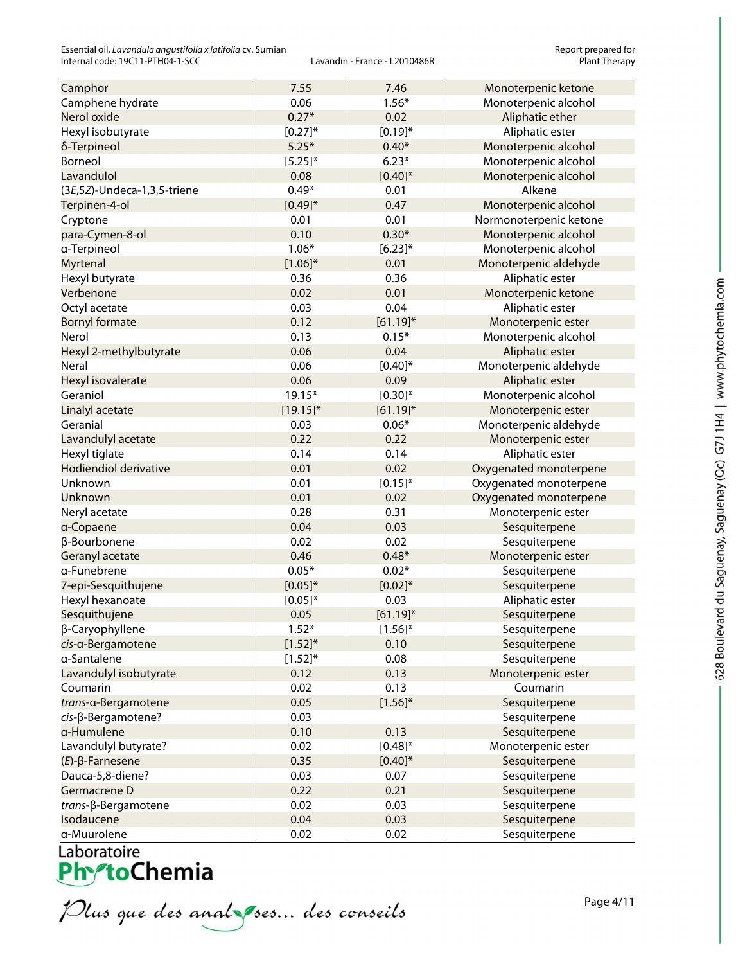Essential oil, *Lavandula angustifolia x latifolia* cv. Sumian **Report prepared for and the sential oil** and the port prepared for context and the rance - L2010486R and the rance of the report prepared for context plant Th Internal code: 19C11-PTH04-1-SCC

| Camphor                      | 7.55         | 7.46         | Monoterpenic ketone    |
|------------------------------|--------------|--------------|------------------------|
| Camphene hydrate             | 0.06         | $1.56*$      | Monoterpenic alcohol   |
| Nerol oxide                  | $0.27*$      | 0.02         | Aliphatic ether        |
| Hexyl isobutyrate            | $[0.27]^{*}$ | $[0.19]$ *   | Aliphatic ester        |
| δ-Terpineol                  | $5.25*$      | $0.40*$      | Monoterpenic alcohol   |
| Borneol                      | $[5.25]^{*}$ | $6.23*$      | Monoterpenic alcohol   |
| Lavandulol                   | 0.08         | $[0.40]$ *   | Monoterpenic alcohol   |
| (3E,5Z)-Undeca-1,3,5-triene  | $0.49*$      | 0.01         | Alkene                 |
| Terpinen-4-ol                | $[0.49]^{*}$ | 0.47         | Monoterpenic alcohol   |
| Cryptone                     | 0.01         | 0.01         | Normonoterpenic ketone |
| para-Cymen-8-ol              | 0.10         | $0.30*$      | Monoterpenic alcohol   |
| a-Terpineol                  | $1.06*$      | $[6.23]$ *   | Monoterpenic alcohol   |
| Myrtenal                     | $[1.06]^{*}$ | 0.01         | Monoterpenic aldehyde  |
| Hexyl butyrate               | 0.36         | 0.36         | Aliphatic ester        |
| Verbenone                    | 0.02         | 0.01         | Monoterpenic ketone    |
| Octyl acetate                | 0.03         | 0.04         | Aliphatic ester        |
| <b>Bornyl formate</b>        | 0.12         | $[61.19]$ *  | Monoterpenic ester     |
| Nerol                        | 0.13         | $0.15*$      | Monoterpenic alcohol   |
| Hexyl 2-methylbutyrate       | 0.06         | 0.04         | Aliphatic ester        |
| Neral                        | 0.06         | $[0.40]$ *   | Monoterpenic aldehyde  |
| Hexyl isovalerate            | 0.06         | 0.09         | Aliphatic ester        |
| Geraniol                     | 19.15*       | $[0.30]^{*}$ | Monoterpenic alcohol   |
| Linalyl acetate              | $[19.15]$ *  | $[61.19]$ *  | Monoterpenic ester     |
| Geranial                     | 0.03         | $0.06*$      | Monoterpenic aldehyde  |
| Lavandulyl acetate           | 0.22         | 0.22         | Monoterpenic ester     |
| Hexyl tiglate                | 0.14         | 0.14         | Aliphatic ester        |
| <b>Hodiendiol derivative</b> | 0.01         | 0.02         | Oxygenated monoterpene |
| Unknown                      | 0.01         | $[0.15]^{*}$ | Oxygenated monoterpene |
| Unknown                      | 0.01         | 0.02         | Oxygenated monoterpene |
| Neryl acetate                | 0.28         | 0.31         | Monoterpenic ester     |
| a-Copaene                    | 0.04         | 0.03         | Sesquiterpene          |
| β-Bourbonene                 | 0.02         | 0.02         | Sesquiterpene          |
| Geranyl acetate              | 0.46         | $0.48*$      | Monoterpenic ester     |
| a-Funebrene                  | $0.05*$      | $0.02*$      | Sesquiterpene          |
| 7-epi-Sesquithujene          | $[0.05]$ *   | $[0.02]*$    | Sesquiterpene          |
| Hexyl hexanoate              | $[0.05]^{*}$ | 0.03         | Aliphatic ester        |
| Sesquithujene                | 0.05         | $[61.19]$ *  | Sesquiterpene          |
| β-Caryophyllene              | $1.52*$      | $[1.56]^{*}$ | Sesquiterpene          |
| cis-a-Bergamotene            | $[1.52]^{*}$ | 0.10         | Sesquiterpene          |
| a-Santalene                  | $[1.52]^{*}$ | 0.08         | Sesquiterpene          |
| Lavandulyl isobutyrate       | 0.12         | 0.13         | Monoterpenic ester     |
| Coumarin                     | 0.02         | 0.13         | Coumarin               |
| trans-a-Bergamotene          | 0.05         | $[1.56]^{*}$ | Sesquiterpene          |
| cis-β-Bergamotene?           | 0.03         |              | Sesquiterpene          |
| a-Humulene                   | 0.10         | 0.13         | Sesquiterpene          |
| Lavandulyl butyrate?         | 0.02         | $[0.48]^{*}$ | Monoterpenic ester     |
| $(E)$ - $\beta$ -Farnesene   | 0.35         | $[0.40]$ *   | Sesquiterpene          |
| Dauca-5,8-diene?             | 0.03         | 0.07         | Sesquiterpene          |
| Germacrene D                 | 0.22         | 0.21         | Sesquiterpene          |
| trans-β-Bergamotene          | 0.02         | 0.03         | Sesquiterpene          |
| Isodaucene                   | 0.04         | 0.03         | Sesquiterpene          |
| a-Muurolene                  | 0.02         | 0.02         | Sesquiterpene          |

Plus que des analzes... des conseils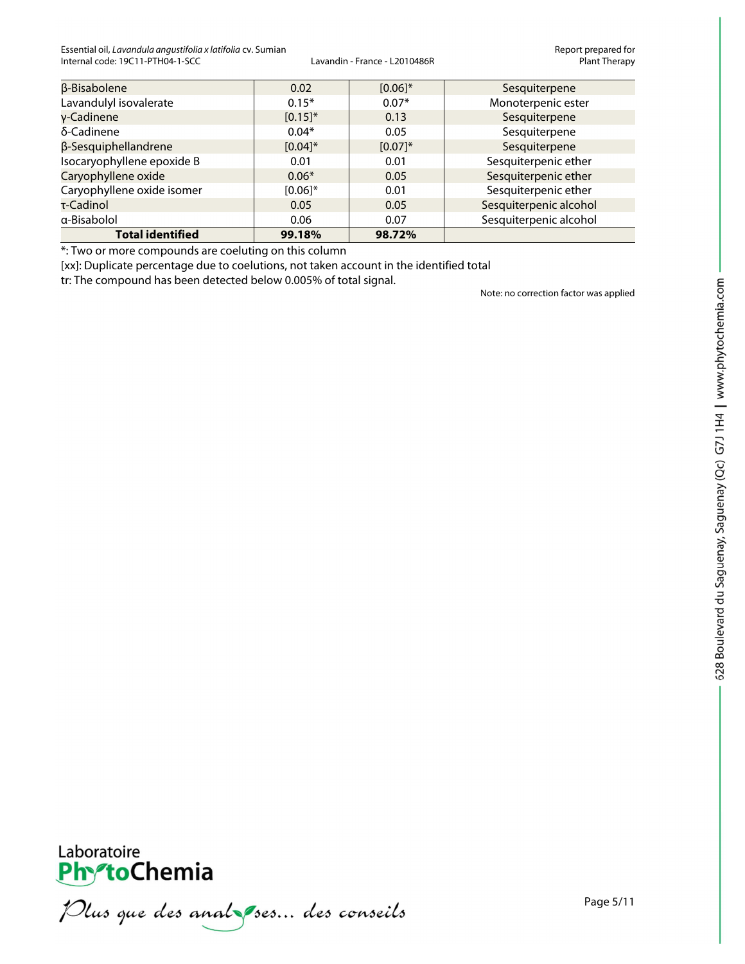Essential oil, *Lavandula angustifolia x latifolia* cv. Sumian **Report prepared for example for the port prepared for**<br>Internal code: 19C11-PTH04-1-SCC **Report prepared for the rational code:** 19C11-PTH04-1-SCC **Report Pla** Internal code: 19C11-PTH04-1-SCC

| <b>Total identified</b>    | 99.18%       | 98.72%       |                        |
|----------------------------|--------------|--------------|------------------------|
| a-Bisabolol                | 0.06         | 0.07         | Sesquiterpenic alcohol |
| τ-Cadinol                  | 0.05         | 0.05         | Sesquiterpenic alcohol |
| Caryophyllene oxide isomer | $[0.06]^{*}$ | 0.01         | Sesquiterpenic ether   |
| Caryophyllene oxide        | $0.06*$      | 0.05         | Sesquiterpenic ether   |
| Isocaryophyllene epoxide B | 0.01         | 0.01         | Sesquiterpenic ether   |
| β-Sesquiphellandrene       | $[0.04]$ *   | $[0.07]^{*}$ | Sesquiterpene          |
| δ-Cadinene                 | $0.04*$      | 0.05         | Sesquiterpene          |
| $v$ -Cadinene              | $[0.15]$ *   | 0.13         | Sesquiterpene          |
| Lavandulyl isovalerate     | $0.15*$      | $0.07*$      | Monoterpenic ester     |
| β-Bisabolene               | 0.02         | $[0.06]$ *   | Sesquiterpene          |

\*: Two or more compounds are coeluting on this column

[xx]: Duplicate percentage due to coelutions, not taken account in the identified total

tr: The compound has been detected below 0.005% of total signal.

Note: no correction factor was applied



Plus que des analzes... des conseils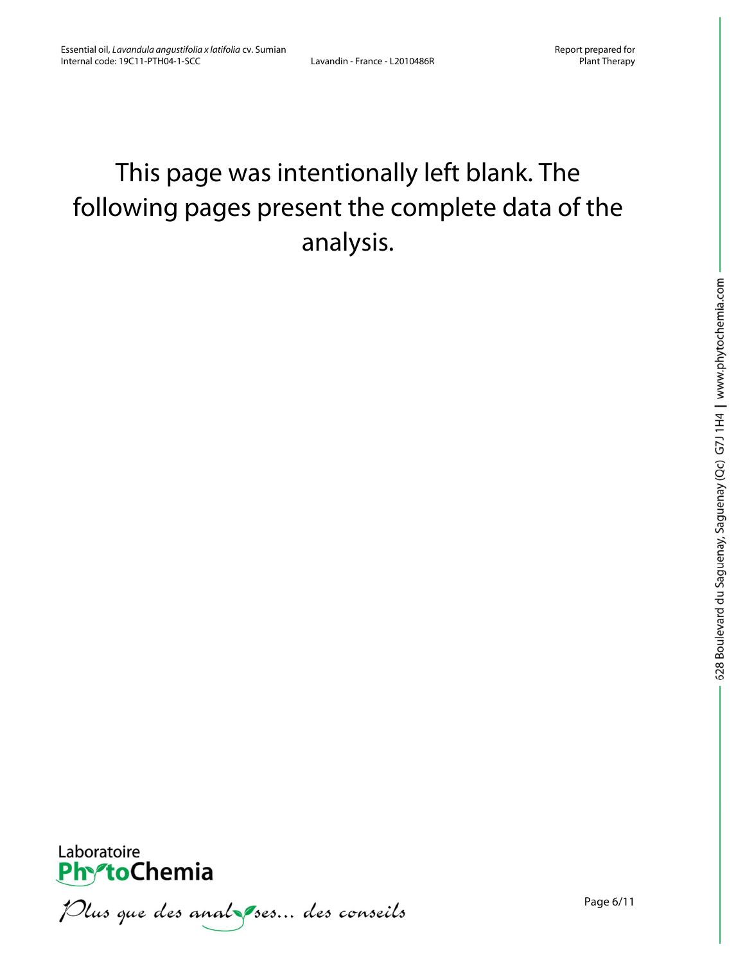## This page was intentionally left blank. The following pages present the complete data of the analysis.



Plus que des analzes... des conseils

Page 6/11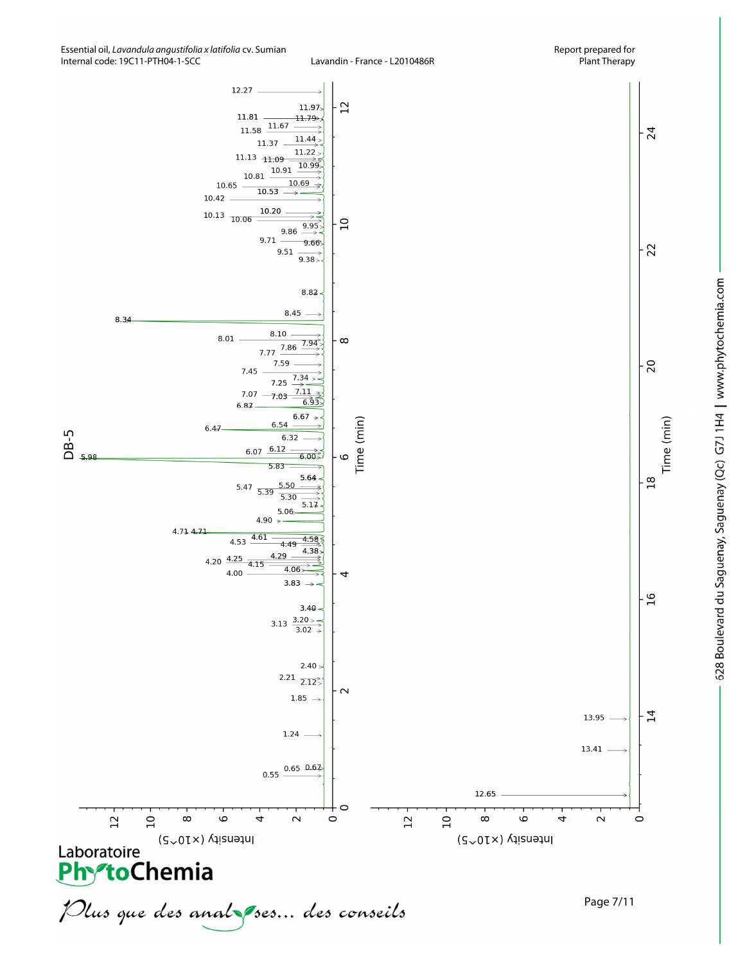

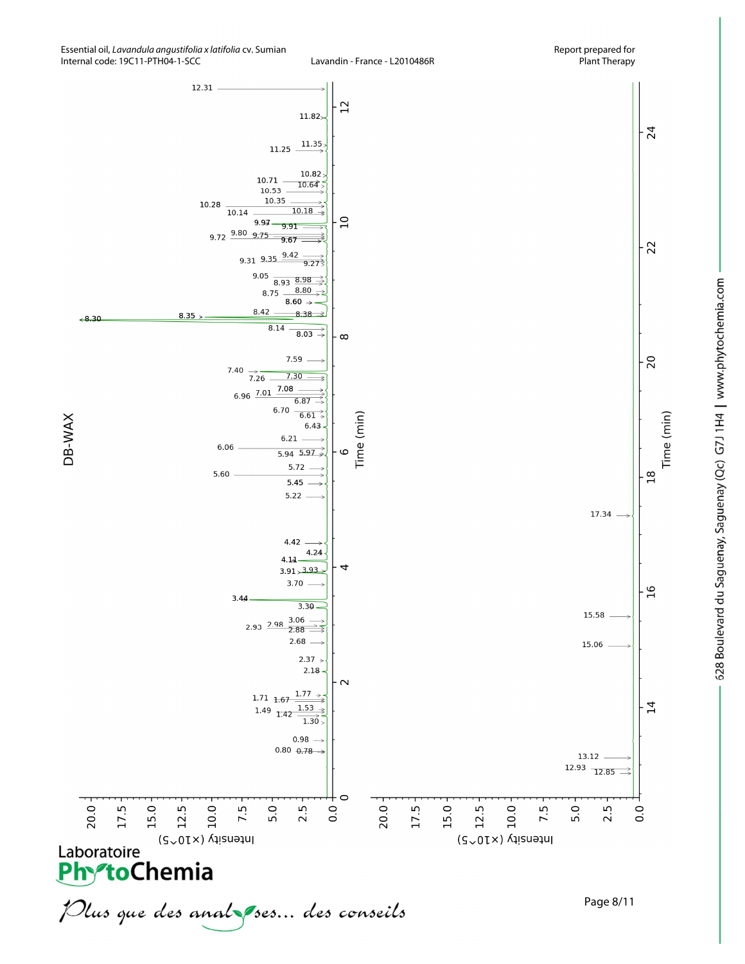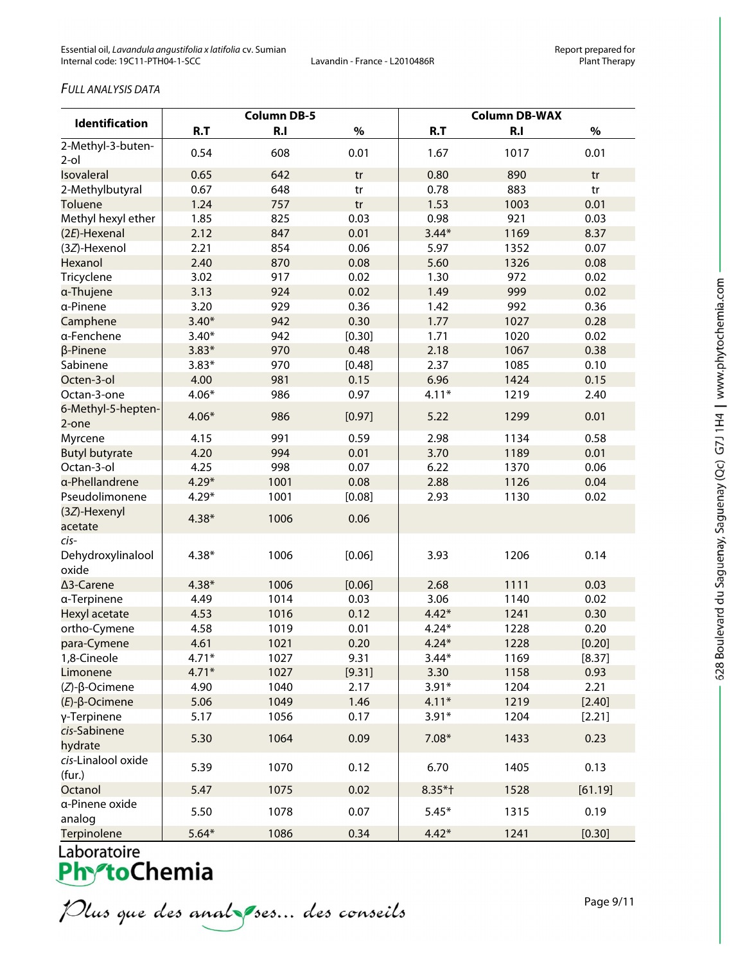#### *FULL ANALYSIS DATA*

| Identification                     | <b>Column DB-5</b> |      |        | <b>Column DB-WAX</b> |      |         |
|------------------------------------|--------------------|------|--------|----------------------|------|---------|
|                                    | R.T                | R.I  | $\%$   | R.T                  | R.I  | $\%$    |
| 2-Methyl-3-buten-<br>$2$ -ol       | 0.54               | 608  | 0.01   | 1.67                 | 1017 | 0.01    |
| <b>Isovaleral</b>                  | 0.65               | 642  | tr     | 0.80                 | 890  | tr      |
| 2-Methylbutyral                    | 0.67               | 648  | tr     | 0.78                 | 883  | tr      |
| Toluene                            | 1.24               | 757  | tr     | 1.53                 | 1003 | 0.01    |
| Methyl hexyl ether                 | 1.85               | 825  | 0.03   | 0.98                 | 921  | 0.03    |
| (2E)-Hexenal                       | 2.12               | 847  | 0.01   | $3.44*$              | 1169 | 8.37    |
| (3Z)-Hexenol                       | 2.21               | 854  | 0.06   | 5.97                 | 1352 | 0.07    |
| Hexanol                            | 2.40               | 870  | 0.08   | 5.60                 | 1326 | 0.08    |
| Tricyclene                         | 3.02               | 917  | 0.02   | 1.30                 | 972  | 0.02    |
| a-Thujene                          | 3.13               | 924  | 0.02   | 1.49                 | 999  | 0.02    |
| a-Pinene                           | 3.20               | 929  | 0.36   | 1.42                 | 992  | 0.36    |
| Camphene                           | $3.40*$            | 942  | 0.30   | 1.77                 | 1027 | 0.28    |
| a-Fenchene                         | $3.40*$            | 942  | [0.30] | 1.71                 | 1020 | 0.02    |
| β-Pinene                           | $3.83*$            | 970  | 0.48   | 2.18                 | 1067 | 0.38    |
| Sabinene                           | $3.83*$            | 970  | [0.48] | 2.37                 | 1085 | 0.10    |
| Octen-3-ol                         | 4.00               | 981  | 0.15   | 6.96                 | 1424 | 0.15    |
| Octan-3-one                        | $4.06*$            | 986  | 0.97   | $4.11*$              | 1219 | 2.40    |
| 6-Methyl-5-hepten-<br>2-one        | $4.06*$            | 986  | [0.97] | 5.22                 | 1299 | 0.01    |
| Myrcene                            | 4.15               | 991  | 0.59   | 2.98                 | 1134 | 0.58    |
| <b>Butyl butyrate</b>              | 4.20               | 994  | 0.01   | 3.70                 | 1189 | 0.01    |
| Octan-3-ol                         | 4.25               | 998  | 0.07   | 6.22                 | 1370 | 0.06    |
| a-Phellandrene                     | $4.29*$            | 1001 | 0.08   | 2.88                 | 1126 | 0.04    |
| Pseudolimonene                     | $4.29*$            | 1001 | [0.08] | 2.93                 | 1130 | 0.02    |
| (3Z)-Hexenyl<br>acetate            | $4.38*$            | 1006 | 0.06   |                      |      |         |
| cis-<br>Dehydroxylinalool<br>oxide | $4.38*$            | 1006 | [0.06] | 3.93                 | 1206 | 0.14    |
| ∆3-Carene                          | $4.38*$            | 1006 | [0.06] | 2.68                 | 1111 | 0.03    |
| a-Terpinene                        | 4.49               | 1014 | 0.03   | 3.06                 | 1140 | 0.02    |
| Hexyl acetate                      | 4.53               | 1016 | 0.12   | $4.42*$              | 1241 | 0.30    |
| ortho-Cymene                       | 4.58               | 1019 | 0.01   | $4.24*$              | 1228 | 0.20    |
| para-Cymene                        | 4.61               | 1021 | 0.20   | $4.24*$              | 1228 | [0.20]  |
| 1,8-Cineole                        | $4.71*$            | 1027 | 9.31   | $3.44*$              | 1169 | [8.37]  |
| Limonene                           | $4.71*$            | 1027 | [9.31] | 3.30                 | 1158 | 0.93    |
| $(Z)-\beta$ -Ocimene               | 4.90               | 1040 | 2.17   | $3.91*$              | 1204 | 2.21    |
| $(E)$ - $\beta$ -Ocimene           | 5.06               | 1049 | 1.46   | $4.11*$              | 1219 | [2.40]  |
| γ-Terpinene                        | 5.17               | 1056 | 0.17   | $3.91*$              | 1204 | [2.21]  |
| cis-Sabinene<br>hydrate            | 5.30               | 1064 | 0.09   | $7.08*$              | 1433 | 0.23    |
| cis-Linalool oxide<br>(fur.)       | 5.39               | 1070 | 0.12   | 6.70                 | 1405 | 0.13    |
| Octanol                            | 5.47               | 1075 | 0.02   | $8.35*$ †            | 1528 | [61.19] |
| a-Pinene oxide<br>analog           | 5.50               | 1078 | 0.07   | $5.45*$              | 1315 | 0.19    |
| Terpinolene                        | $5.64*$            | 1086 | 0.34   | $4.42*$              | 1241 | [0.30]  |

Plus que des analzes... des conseils

Page 9/11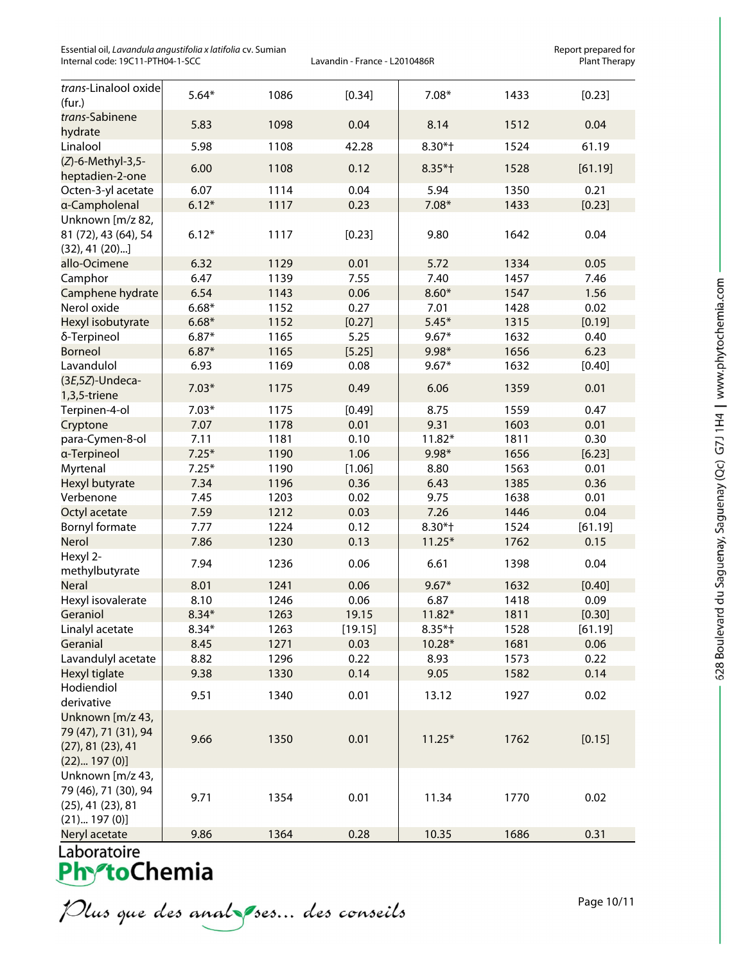Essential oil, *Lavandula angustifolia x latifolia* cv. Sumian **Report prepared for and the sential oil** and the port prepared for context prepared for the rangustifolia x latifolia cv. Sumian Lavandin - France - L2010486R Internal code: 19C11-PTH04-1-SCC

| trans-Linalool oxide<br>(fur.)                                                      | $5.64*$ | 1086 | [0.34]  | $7.08*$   | 1433 | [0.23]  |
|-------------------------------------------------------------------------------------|---------|------|---------|-----------|------|---------|
| trans-Sabinene<br>hydrate                                                           | 5.83    | 1098 | 0.04    | 8.14      | 1512 | 0.04    |
| Linalool                                                                            | 5.98    | 1108 | 42.28   | $8.30*$ † | 1524 | 61.19   |
| (Z)-6-Methyl-3,5-<br>heptadien-2-one                                                | 6.00    | 1108 | 0.12    | $8.35*$ † | 1528 | [61.19] |
| Octen-3-yl acetate                                                                  | 6.07    | 1114 | 0.04    | 5.94      | 1350 | 0.21    |
| a-Campholenal                                                                       | $6.12*$ | 1117 | 0.23    | $7.08*$   | 1433 | [0.23]  |
| Unknown [m/z 82,<br>81 (72), 43 (64), 54<br>$(32), 41 (20)$ ]                       | $6.12*$ | 1117 | [0.23]  | 9.80      | 1642 | 0.04    |
| allo-Ocimene                                                                        | 6.32    | 1129 | 0.01    | 5.72      | 1334 | 0.05    |
| Camphor                                                                             | 6.47    | 1139 | 7.55    | 7.40      | 1457 | 7.46    |
| Camphene hydrate                                                                    | 6.54    | 1143 | 0.06    | $8.60*$   | 1547 | 1.56    |
| Nerol oxide                                                                         | $6.68*$ | 1152 | 0.27    | 7.01      | 1428 | 0.02    |
| Hexyl isobutyrate                                                                   | $6.68*$ | 1152 | [0.27]  | $5.45*$   | 1315 | [0.19]  |
| δ-Terpineol                                                                         | $6.87*$ | 1165 | 5.25    | $9.67*$   | 1632 | 0.40    |
| <b>Borneol</b>                                                                      | $6.87*$ | 1165 | [5.25]  | 9.98*     | 1656 | 6.23    |
| Lavandulol                                                                          | 6.93    | 1169 | 0.08    | $9.67*$   | 1632 | [0.40]  |
| $(3E, 5Z)$ -Undeca-<br>1,3,5-triene                                                 | $7.03*$ | 1175 | 0.49    | 6.06      | 1359 | 0.01    |
| Terpinen-4-ol                                                                       | $7.03*$ | 1175 | [0.49]  | 8.75      | 1559 | 0.47    |
| Cryptone                                                                            | 7.07    | 1178 | 0.01    | 9.31      | 1603 | 0.01    |
| para-Cymen-8-ol                                                                     | 7.11    | 1181 | 0.10    | $11.82*$  | 1811 | 0.30    |
| a-Terpineol                                                                         | $7.25*$ | 1190 | 1.06    | $9.98*$   | 1656 | [6.23]  |
| Myrtenal                                                                            | $7.25*$ | 1190 | [1.06]  | 8.80      | 1563 | 0.01    |
| Hexyl butyrate                                                                      | 7.34    | 1196 | 0.36    | 6.43      | 1385 | 0.36    |
| Verbenone                                                                           | 7.45    | 1203 | 0.02    | 9.75      | 1638 | 0.01    |
| Octyl acetate                                                                       | 7.59    | 1212 | 0.03    | 7.26      | 1446 | 0.04    |
| Bornyl formate                                                                      | 7.77    | 1224 | 0.12    | 8.30*†    | 1524 | [61.19] |
| Nerol                                                                               | 7.86    | 1230 | 0.13    | $11.25*$  | 1762 | 0.15    |
| Hexyl 2-<br>methylbutyrate                                                          | 7.94    | 1236 | 0.06    | 6.61      | 1398 | 0.04    |
| <b>Neral</b>                                                                        | 8.01    | 1241 | 0.06    | $9.67*$   | 1632 | [0.40]  |
| Hexyl isovalerate                                                                   | 8.10    | 1246 | 0.06    | 6.87      | 1418 | 0.09    |
| Geraniol                                                                            | $8.34*$ | 1263 | 19.15   | $11.82*$  | 1811 | [0.30]  |
| Linalyl acetate                                                                     | $8.34*$ | 1263 | [19.15] | $8.35*$ † | 1528 | [61.19] |
| Geranial                                                                            | 8.45    | 1271 | 0.03    | 10.28*    | 1681 | 0.06    |
| Lavandulyl acetate                                                                  | 8.82    | 1296 | 0.22    | 8.93      | 1573 | 0.22    |
| Hexyl tiglate                                                                       | 9.38    | 1330 | 0.14    | 9.05      | 1582 | 0.14    |
| Hodiendiol<br>derivative                                                            | 9.51    | 1340 | 0.01    | 13.12     | 1927 | 0.02    |
| Unknown [m/z 43,<br>79 (47), 71 (31), 94<br>(27), 81 (23), 41<br>(22) 197(0)]       | 9.66    | 1350 | 0.01    | $11.25*$  | 1762 | [0.15]  |
| Unknown [m/z 43,<br>79 (46), 71 (30), 94<br>$(25)$ , 41 $(23)$ , 81<br>(21) 197(0)] | 9.71    | 1354 | 0.01    | 11.34     | 1770 | 0.02    |
| Neryl acetate                                                                       | 9.86    | 1364 | 0.28    | 10.35     | 1686 | 0.31    |
|                                                                                     |         |      |         |           |      |         |

Plus que des analzes... des conseils

Page 10/11